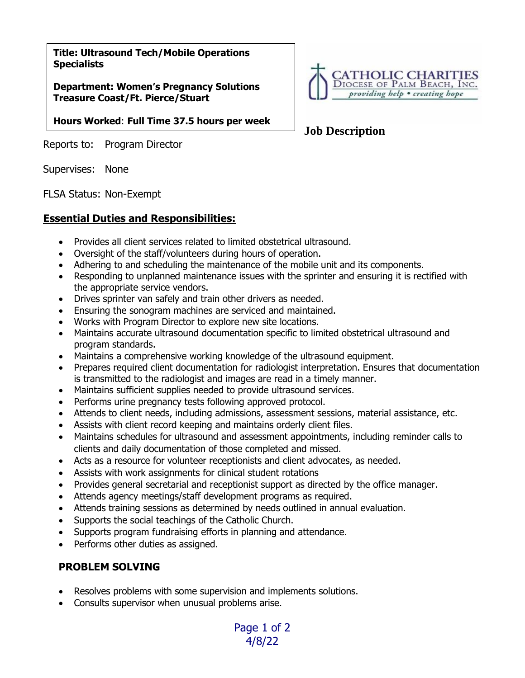**Title: Ultrasound Tech/Mobile Operations Specialists**

**Department: Women's Pregnancy Solutions Treasure Coast/Ft. Pierce/Stuart**

**Hours Worked**: **Full Time 37.5 hours per week**

Reports to: Program Director

Supervises: None

FLSA Status: Non-Exempt

### **Essential Duties and Responsibilities:**

- Provides all client services related to limited obstetrical ultrasound.
- Oversight of the staff/volunteers during hours of operation.
- Adhering to and scheduling the maintenance of the mobile unit and its components.
- Responding to unplanned maintenance issues with the sprinter and ensuring it is rectified with the appropriate service vendors.
- Drives sprinter van safely and train other drivers as needed.
- Ensuring the sonogram machines are serviced and maintained.
- Works with Program Director to explore new site locations.
- Maintains accurate ultrasound documentation specific to limited obstetrical ultrasound and program standards.
- Maintains a comprehensive working knowledge of the ultrasound equipment.
- Prepares required client documentation for radiologist interpretation. Ensures that documentation is transmitted to the radiologist and images are read in a timely manner.
- Maintains sufficient supplies needed to provide ultrasound services.
- Performs urine pregnancy tests following approved protocol.
- Attends to client needs, including admissions, assessment sessions, material assistance, etc.
- Assists with client record keeping and maintains orderly client files.
- Maintains schedules for ultrasound and assessment appointments, including reminder calls to clients and daily documentation of those completed and missed.

Page 1 of 2 4/8/22

- Acts as a resource for volunteer receptionists and client advocates, as needed.
- Assists with work assignments for clinical student rotations
- Provides general secretarial and receptionist support as directed by the office manager.
- Attends agency meetings/staff development programs as required.
- Attends training sessions as determined by needs outlined in annual evaluation.
- Supports the social teachings of the Catholic Church.
- Supports program fundraising efforts in planning and attendance.
- Performs other duties as assigned.

## **PROBLEM SOLVING**

- Resolves problems with some supervision and implements solutions.
- Consults supervisor when unusual problems arise.



# **Job Description**